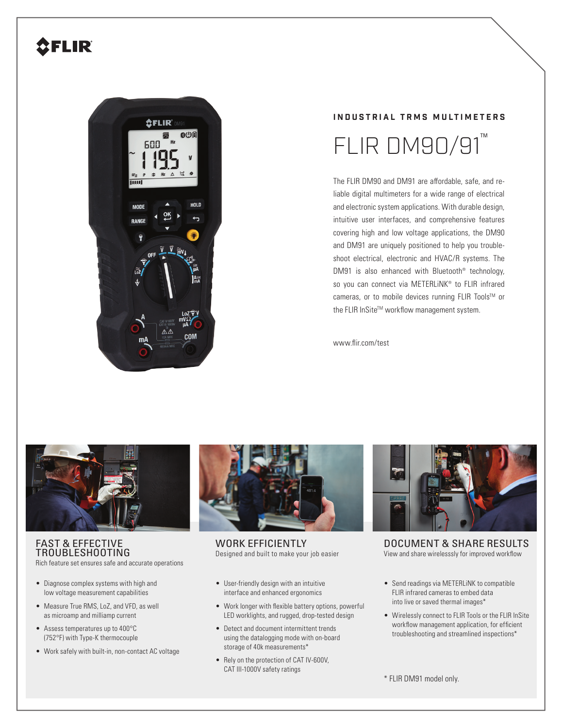## **SFLIR**



# **INDUSTRIAL TRMS MULTIMETERS**  $FLIR$  DM90/91

The FLIR DM90 and DM91 are affordable, safe, and reliable digital multimeters for a wide range of electrical and electronic system applications. With durable design, intuitive user interfaces, and comprehensive features covering high and low voltage applications, the DM90 and DM91 are uniquely positioned to help you troubleshoot electrical, electronic and HVAC/R systems. The DM91 is also enhanced with Bluetooth<sup>®</sup> technology, so you can connect via METERLINK<sup>®</sup> to FLIR infrared cameras, or to mobile devices running FLIR Tools™ or the FLIR InSite™ workflow management system.

www.flir.com/test



## FAST & EFFECTIVE TROUBLESHOOTING

Rich feature set ensures safe and accurate operations

- Diagnose complex systems with high and low voltage measurement capabilities
- Measure True RMS, LoZ, and VFD, as well as microamp and milliamp current
- Assess temperatures up to 400°C (752°F) with Type-K thermocouple
- Work safely with built-in, non-contact AC voltage



WORK EFFICIENTLY Designed and built to make your job easier

- User-friendly design with an intuitive interface and enhanced ergonomics
- Work longer with flexible battery options, powerful LED worklights, and rugged, drop-tested design
- Detect and document intermittent trends using the datalogging mode with on-board storage of 40k measurements\*
- Rely on the protection of CAT IV-600V, CAT III-1000V safety ratings



DOCUMENT & SHARE RESULTS View and share wirelesssly for improved workflow

- Send readings via METERLiNK to compatible FLIR infrared cameras to embed data into live or saved thermal images\*
- Wirelessly connect to FLIR Tools or the FLIR InSite workflow management application, for efficient troubleshooting and streamlined inspections\*

\* FLIR DM91 model only.